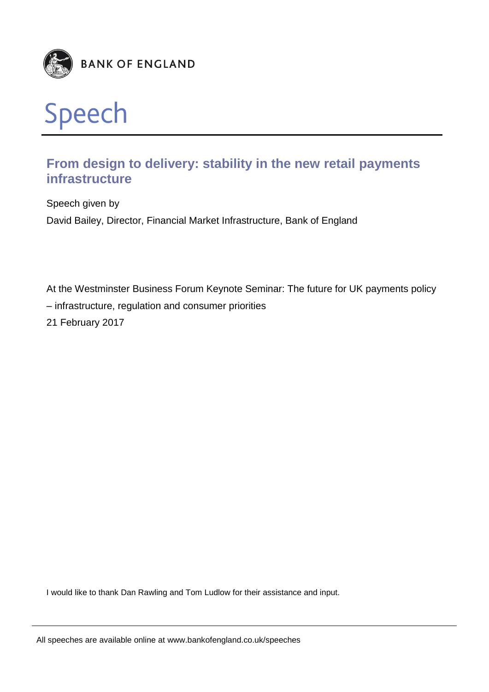



# **From design to delivery: stability in the new retail payments infrastructure**

Speech given by David Bailey, Director, Financial Market Infrastructure, Bank of England

At the Westminster Business Forum Keynote Seminar: The future for UK payments policy – infrastructure, regulation and consumer priorities 21 February 2017

I would like to thank Dan Rawling and Tom Ludlow for their assistance and input.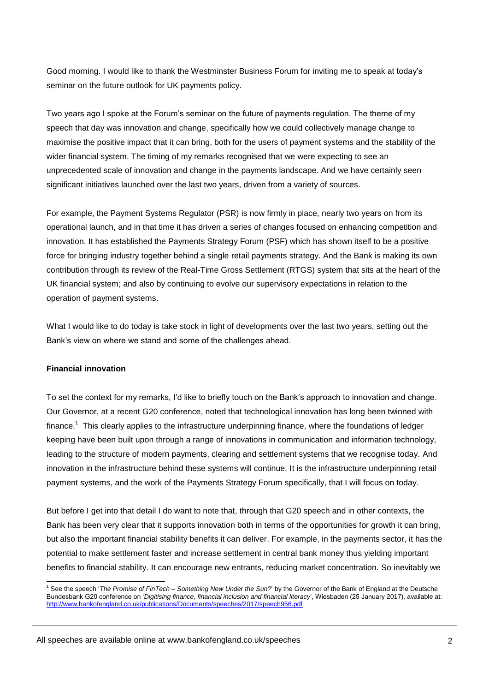Good morning. I would like to thank the Westminster Business Forum for inviting me to speak at today's seminar on the future outlook for UK payments policy.

Two years ago I spoke at the Forum's seminar on the future of payments regulation. The theme of my speech that day was innovation and change, specifically how we could collectively manage change to maximise the positive impact that it can bring, both for the users of payment systems and the stability of the wider financial system. The timing of my remarks recognised that we were expecting to see an unprecedented scale of innovation and change in the payments landscape. And we have certainly seen significant initiatives launched over the last two years, driven from a variety of sources.

For example, the Payment Systems Regulator (PSR) is now firmly in place, nearly two years on from its operational launch, and in that time it has driven a series of changes focused on enhancing competition and innovation. It has established the Payments Strategy Forum (PSF) which has shown itself to be a positive force for bringing industry together behind a single retail payments strategy. And the Bank is making its own contribution through its review of the Real-Time Gross Settlement (RTGS) system that sits at the heart of the UK financial system; and also by continuing to evolve our supervisory expectations in relation to the operation of payment systems.

What I would like to do today is take stock in light of developments over the last two years, setting out the Bank's view on where we stand and some of the challenges ahead.

#### **Financial innovation**

-

To set the context for my remarks, I'd like to briefly touch on the Bank's approach to innovation and change. Our Governor, at a recent G20 conference, noted that technological innovation has long been twinned with finance.<sup>1</sup> This clearly applies to the infrastructure underpinning finance, where the foundations of ledger keeping have been built upon through a range of innovations in communication and information technology, leading to the structure of modern payments, clearing and settlement systems that we recognise today. And innovation in the infrastructure behind these systems will continue. It is the infrastructure underpinning retail payment systems, and the work of the Payments Strategy Forum specifically, that I will focus on today.

But before I get into that detail I do want to note that, through that G20 speech and in other contexts, the Bank has been very clear that it supports innovation both in terms of the opportunities for growth it can bring, but also the important financial stability benefits it can deliver. For example, in the payments sector, it has the potential to make settlement faster and increase settlement in central bank money thus yielding important benefits to financial stability. It can encourage new entrants, reducing market concentration. So inevitably we

<sup>1</sup> See the speech '*The Promise of FinTech – Something New Under the Sun?*' by the Governor of the Bank of England at the Deutsche Bundesbank G20 conference on '*Digitising finance, financial inclusion and financial literacy*', Wiesbaden (25 January 2017), available at: <http://www.bankofengland.co.uk/publications/Documents/speeches/2017/speech956.pdf>

All speeches are available online at www.bankofengland.co.uk/speeches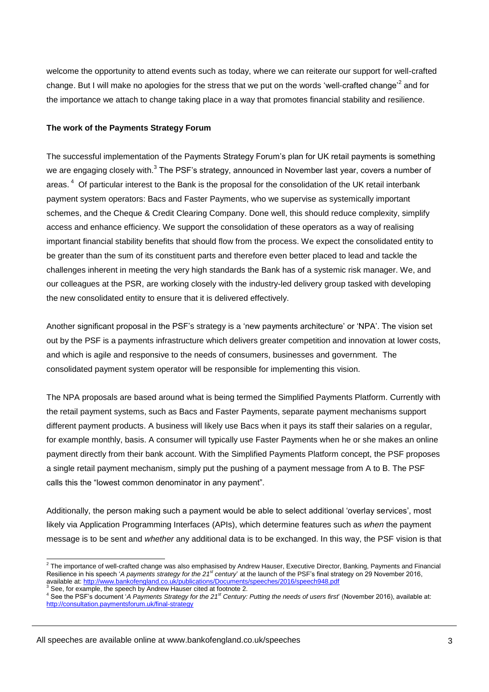welcome the opportunity to attend events such as today, where we can reiterate our support for well-crafted change. But I will make no apologies for the stress that we put on the words 'well-crafted change'<sup>2</sup> and for the importance we attach to change taking place in a way that promotes financial stability and resilience.

### **The work of the Payments Strategy Forum**

The successful implementation of the Payments Strategy Forum's plan for UK retail payments is something we are engaging closely with.<sup>3</sup> The PSF's strategy, announced in November last year, covers a number of areas.<sup>4</sup> Of particular interest to the Bank is the proposal for the consolidation of the UK retail interbank payment system operators: Bacs and Faster Payments, who we supervise as systemically important schemes, and the Cheque & Credit Clearing Company. Done well, this should reduce complexity, simplify access and enhance efficiency. We support the consolidation of these operators as a way of realising important financial stability benefits that should flow from the process. We expect the consolidated entity to be greater than the sum of its constituent parts and therefore even better placed to lead and tackle the challenges inherent in meeting the very high standards the Bank has of a systemic risk manager. We, and our colleagues at the PSR, are working closely with the industry-led delivery group tasked with developing the new consolidated entity to ensure that it is delivered effectively.

Another significant proposal in the PSF's strategy is a 'new payments architecture' or 'NPA'. The vision set out by the PSF is a payments infrastructure which delivers greater competition and innovation at lower costs, and which is agile and responsive to the needs of consumers, businesses and government. The consolidated payment system operator will be responsible for implementing this vision.

The NPA proposals are based around what is being termed the Simplified Payments Platform. Currently with the retail payment systems, such as Bacs and Faster Payments, separate payment mechanisms support different payment products. A business will likely use Bacs when it pays its staff their salaries on a regular, for example monthly, basis. A consumer will typically use Faster Payments when he or she makes an online payment directly from their bank account. With the Simplified Payments Platform concept, the PSF proposes a single retail payment mechanism, simply put the pushing of a payment message from A to B. The PSF calls this the "lowest common denominator in any payment".

Additionally, the person making such a payment would be able to select additional 'overlay services', most likely via Application Programming Interfaces (APIs), which determine features such as *when* the payment message is to be sent and *whether* any additional data is to be exchanged. In this way, the PSF vision is that

 2 The importance of well-crafted change was also emphasised by Andrew Hauser, Executive Director, Banking, Payments and Financial Resilience in his speech '*A payments strategy for the 21st century*' at the launch of the PSF's final strategy on 29 November 2016, available at: <http://www.bankofengland.co.uk/publications/Documents/speeches/2016/speech948.pdf>

<sup>&</sup>lt;sup>3</sup> See, for example, the speech by Andrew Hauser cited at footnote 2.

<sup>4</sup> See the PSF's document '*A Payments Strategy for the 21st Century: Putting the needs of users first*' (November 2016), available at: <http://consultation.paymentsforum.uk/final-strategy>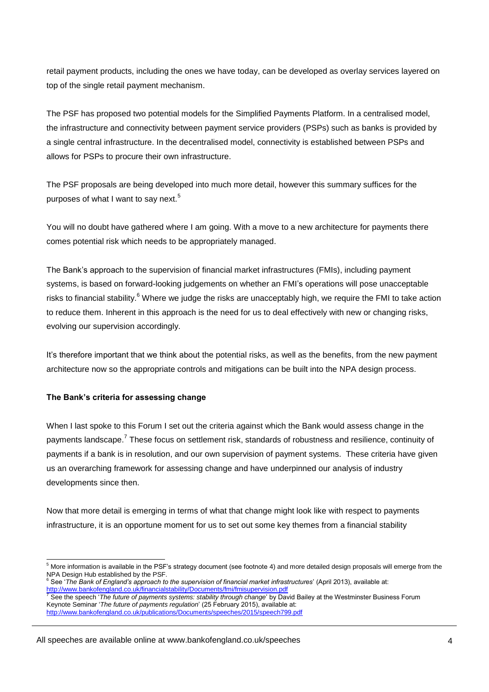retail payment products, including the ones we have today, can be developed as overlay services layered on top of the single retail payment mechanism.

The PSF has proposed two potential models for the Simplified Payments Platform. In a centralised model, the infrastructure and connectivity between payment service providers (PSPs) such as banks is provided by a single central infrastructure. In the decentralised model, connectivity is established between PSPs and allows for PSPs to procure their own infrastructure.

The PSF proposals are being developed into much more detail, however this summary suffices for the purposes of what I want to say next.<sup>5</sup>

You will no doubt have gathered where I am going. With a move to a new architecture for payments there comes potential risk which needs to be appropriately managed.

The Bank's approach to the supervision of financial market infrastructures (FMIs), including payment systems, is based on forward-looking judgements on whether an FMI's operations will pose unacceptable risks to financial stability.<sup>6</sup> Where we judge the risks are unacceptably high, we require the FMI to take action to reduce them. Inherent in this approach is the need for us to deal effectively with new or changing risks, evolving our supervision accordingly.

It's therefore important that we think about the potential risks, as well as the benefits, from the new payment architecture now so the appropriate controls and mitigations can be built into the NPA design process.

# **The Bank's criteria for assessing change**

-

When I last spoke to this Forum I set out the criteria against which the Bank would assess change in the payments landscape.<sup>7</sup> These focus on settlement risk, standards of robustness and resilience, continuity of payments if a bank is in resolution, and our own supervision of payment systems. These criteria have given us an overarching framework for assessing change and have underpinned our analysis of industry developments since then.

Now that more detail is emerging in terms of what that change might look like with respect to payments infrastructure, it is an opportune moment for us to set out some key themes from a financial stability

 $5$  More information is available in the PSF's strategy document (see footnote 4) and more detailed design proposals will emerge from the NPA Design Hub established by the PSF.

<sup>6</sup> See '*The Bank of England's approach to the supervision of financial market infrastructures*' (April 2013), available at:

<http://www.bankofengland.co.uk/financialstability/Documents/fmi/fmisupervision.pdf> <sup>7</sup> See the speech '*The future of payments systems: stability through change*' by David Bailey at the Westminster Business Forum Keynote Seminar '*The future of payments regulation*' (25 February 2015), available at: <http://www.bankofengland.co.uk/publications/Documents/speeches/2015/speech799.pdf>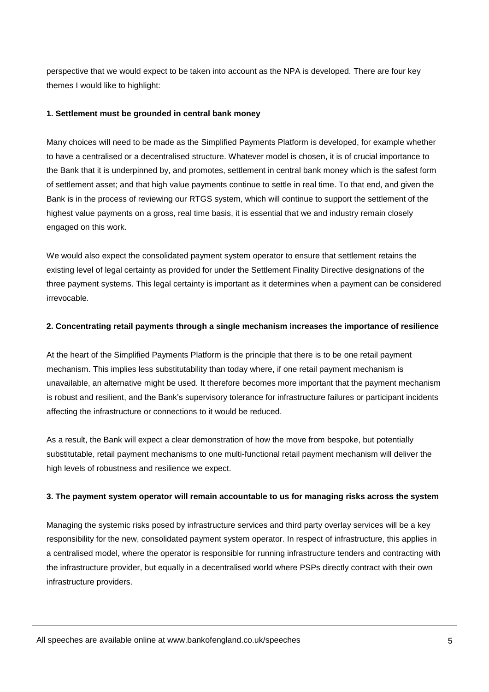perspective that we would expect to be taken into account as the NPA is developed. There are four key themes I would like to highlight:

## **1. Settlement must be grounded in central bank money**

Many choices will need to be made as the Simplified Payments Platform is developed, for example whether to have a centralised or a decentralised structure. Whatever model is chosen, it is of crucial importance to the Bank that it is underpinned by, and promotes, settlement in central bank money which is the safest form of settlement asset; and that high value payments continue to settle in real time. To that end, and given the Bank is in the process of reviewing our RTGS system, which will continue to support the settlement of the highest value payments on a gross, real time basis, it is essential that we and industry remain closely engaged on this work.

We would also expect the consolidated payment system operator to ensure that settlement retains the existing level of legal certainty as provided for under the Settlement Finality Directive designations of the three payment systems. This legal certainty is important as it determines when a payment can be considered irrevocable.

### **2. Concentrating retail payments through a single mechanism increases the importance of resilience**

At the heart of the Simplified Payments Platform is the principle that there is to be one retail payment mechanism. This implies less substitutability than today where, if one retail payment mechanism is unavailable, an alternative might be used. It therefore becomes more important that the payment mechanism is robust and resilient, and the Bank's supervisory tolerance for infrastructure failures or participant incidents affecting the infrastructure or connections to it would be reduced.

As a result, the Bank will expect a clear demonstration of how the move from bespoke, but potentially substitutable, retail payment mechanisms to one multi-functional retail payment mechanism will deliver the high levels of robustness and resilience we expect.

# **3. The payment system operator will remain accountable to us for managing risks across the system**

Managing the systemic risks posed by infrastructure services and third party overlay services will be a key responsibility for the new, consolidated payment system operator. In respect of infrastructure, this applies in a centralised model, where the operator is responsible for running infrastructure tenders and contracting with the infrastructure provider, but equally in a decentralised world where PSPs directly contract with their own infrastructure providers.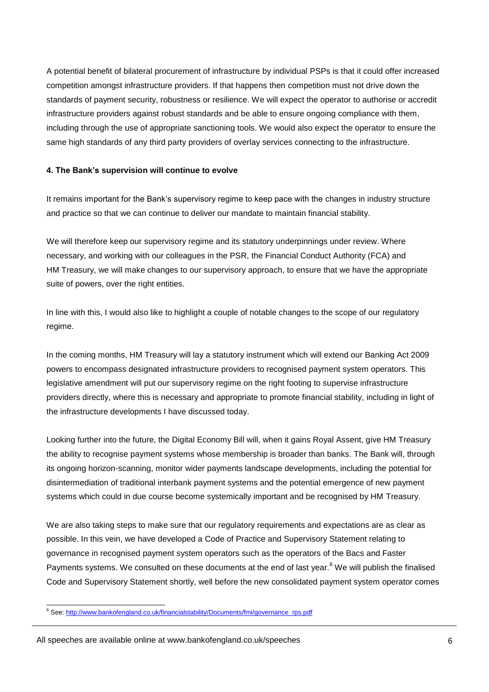A potential benefit of bilateral procurement of infrastructure by individual PSPs is that it could offer increased competition amongst infrastructure providers. If that happens then competition must not drive down the standards of payment security, robustness or resilience. We will expect the operator to authorise or accredit infrastructure providers against robust standards and be able to ensure ongoing compliance with them, including through the use of appropriate sanctioning tools. We would also expect the operator to ensure the same high standards of any third party providers of overlay services connecting to the infrastructure.

#### **4. The Bank's supervision will continue to evolve**

It remains important for the Bank's supervisory regime to keep pace with the changes in industry structure and practice so that we can continue to deliver our mandate to maintain financial stability.

We will therefore keep our supervisory regime and its statutory underpinnings under review. Where necessary, and working with our colleagues in the PSR, the Financial Conduct Authority (FCA) and HM Treasury, we will make changes to our supervisory approach, to ensure that we have the appropriate suite of powers, over the right entities.

In line with this, I would also like to highlight a couple of notable changes to the scope of our regulatory regime.

In the coming months, HM Treasury will lay a statutory instrument which will extend our Banking Act 2009 powers to encompass designated infrastructure providers to recognised payment system operators. This legislative amendment will put our supervisory regime on the right footing to supervise infrastructure providers directly, where this is necessary and appropriate to promote financial stability, including in light of the infrastructure developments I have discussed today.

Looking further into the future, the Digital Economy Bill will, when it gains Royal Assent, give HM Treasury the ability to recognise payment systems whose membership is broader than banks. The Bank will, through its ongoing horizon-scanning, monitor wider payments landscape developments, including the potential for disintermediation of traditional interbank payment systems and the potential emergence of new payment systems which could in due course become systemically important and be recognised by HM Treasury.

We are also taking steps to make sure that our regulatory requirements and expectations are as clear as possible. In this vein, we have developed a Code of Practice and Supervisory Statement relating to governance in recognised payment system operators such as the operators of the Bacs and Faster Payments systems. We consulted on these documents at the end of last year.<sup>8</sup> We will publish the finalised Code and Supervisory Statement shortly, well before the new consolidated payment system operator comes

All speeches are available online at www.bankofengland.co.uk/speeches

<sup>-</sup><sup>8</sup> See[: http://www.bankofengland.co.uk/financialstability/Documents/fmi/governance\\_rps.pdf](http://www.bankofengland.co.uk/financialstability/Documents/fmi/governance_rps.pdf)